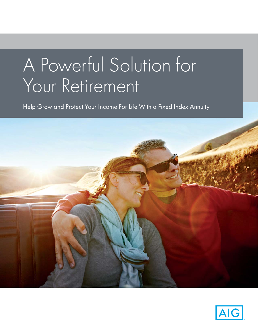# A Powerful Solution for Your Retirement

Help Grow and Protect Your Income For Life With a Fixed Index Annuity



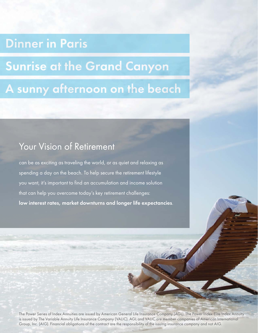## **Dinner in Paris**

## **Sunrise at the Grand Canyon**

## A sunny afternoon on the beach

### Your Vision of Retirement

can be as exciting as traveling the world, or as quiet and relaxing as spending a day on the beach. To help secure the retirement lifestyle you want, it's important to find an accumulation and income solution that can help you overcome today's key retirement challenges: low interest rates, market downturns and longer life expectancies.

The Power Series of Index Annuities are issued by American General Life Insurance Company (AGL). The Power Index Elite Index Annuity is issued by The Variable Annuity Life Insurance Company (VALIC). AGL and VALIC are member companies of American International Group, Inc. (AIG). Financial obligations of the contract are the responsibility of the issuing insurance company and not AIG.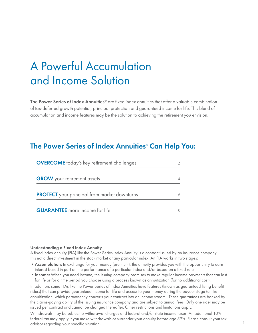## A Powerful Accumulation and Income Solution

The Power Series of Index Annuities<sup>®</sup> are fixed index annuities that offer a valuable combination of tax-deferred growth potential, principal protection and guaranteed income for life. This blend of accumulation and income features may be the solution to achieving the retirement you envision.

#### The Power Series of Index Annuities® Can Help You:

| <b>OVERCOME</b> today's key retirement challenges   |  |
|-----------------------------------------------------|--|
| <b>GROW</b> your retirement assets                  |  |
| <b>PROTECT</b> your principal from market downturns |  |
| <b>GUARANTEE</b> more income for life               |  |

#### Understanding a Fixed Index Annuity

A fixed index annuity (FIA) like the Power Series Index Annuity is a contract issued by an insurance company. It is not a direct investment in the stock market or any particular index. An FIA works in two stages:

- Accumulation: In exchange for your money (premium), the annuity provides you with the opportunity to earn interest based in part on the performance of a particular index and/or based on a fixed rate.
- Income: When you need income, the issuing company promises to make regular income payments that can last for life or for a time period you choose using a process known as annuitization (for no additional cost).

In addition, some FIAs like the Power Series of Index Annuities have features (known as guaranteed living benefit riders) that can provide guaranteed income for life and access to your money during the payout stage (unlike annuitization, which permanently converts your contract into an income stream). These guarantees are backed by the claims-paying ability of the issuing insurance company and are subject to annual fees. Only one rider may be issued per contract and cannot be changed thereafter. Other restrictions and limitations apply.

Withdrawals may be subject to withdrawal charges and federal and/or state income taxes. An additional 10% federal tax may apply if you make withdrawals or surrender your annuity before age 59½. Please consult your tax advisor regarding your specific situation.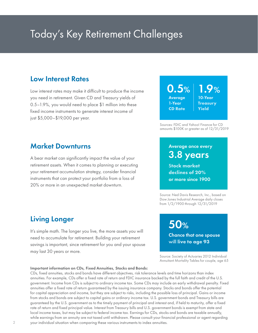## Today's Key Retirement Challenges

#### Low Interest Rates

Low interest rates may make it difficult to produce the income you need in retirement. Given CD and Treasury yields of 0.5–1.9%, you would need to place \$1 million into these fixed income instruments to generate interest income of just \$5,000–\$19,000 per year.

#### $0.5%$ Average 1-Year **CD Rate**   $1.9\%$ **Yield**

10-Year **Treasury** 

Sources: FDIC and Yahoo! Finance for CD amounts \$100K or greater as of 12/31/2019

#### Market Downturns

A bear market can significantly impact the value of your retirement assets. When it comes to planning or executing your retirement accumulation strategy, consider financial instruments that can protect your portfolio from a loss of 20% or more in an unexpected market downturn.

### Average once every 3.8 years

S**tock market declines of 20%** or more since 1900

Source: Ned Davis Research, Inc., based on Dow Jones Industrial Average daily closes from 1/2/1900 through 12/31/2019

50%

### Living Longer

It's simple math. The longer you live, the more assets you will need to accumulate for retirement. Building your retirement savings is important, since retirement for you and your spouse may last 30 years or more.

Chance that one spouse will **live to age 93**

Source: Society of Actuaries 2012 Individual Annuitant Mortality Tables for couple, age 65

#### Important information on CDs, Fixed Annuities, Stocks and Bonds:

CDs, fixed annuities, stocks and bonds have different objectives, risk tolerance levels and time horizons than index annuities. For example, CDs offer a fixed rate of return and FDIC insurance backed by the full faith and credit of the U.S. government. Income from CDs is subject to ordinary income tax. Some CDs may include an early withdrawal penalty. Fixed annuities offer a fixed rate of return guaranteed by the issuing insurance company. Stocks and bonds offer the potential for capital appreciation and income, but they are subject to risks, including the possible loss of principal. Gains or income from stocks and bonds are subject to capital gains or ordinary income tax. U.S. government bonds and Treasury bills are guaranteed by the U.S. government as to the timely payment of principal and interest and, if held to maturity, offer a fixed rate of return and fixed principal value. Interest from Treasury bills and U.S. government bonds is exempt from state and local income taxes, but may be subject to federal income tax. Earnings for CDs, stocks and bonds are taxable annually, while earnings from an annuity are not taxed until withdrawn. Please consult your financial professional or agent regarding your individual situation when comparing these various instruments to index annuities.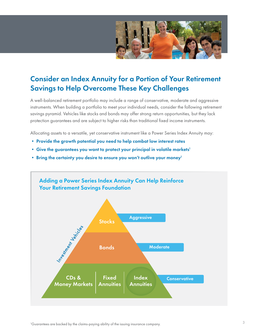

### Consider an Index Annuity for a Portion of Your Retirement Savings to Help Overcome These Key Challenges

A well-balanced retirement portfolio may include a range of conservative, moderate and aggressive instruments. When building a portfolio to meet your individual needs, consider the following retirement savings pyramid. Vehicles like stocks and bonds may offer strong return opportunities, but they lack protection guarantees and are subject to higher risks than traditional fixed income instruments.

Allocating assets to a versatile, yet conservative instrument like a Power Series Index Annuity may:

- Provide the growth potential you need to help combat low interest rates
- Give the guarantees you want to protect your principal in volatile markets<sup>1</sup>
- Bring the certainty you desire to ensure you won't outlive your money<sup>1</sup>

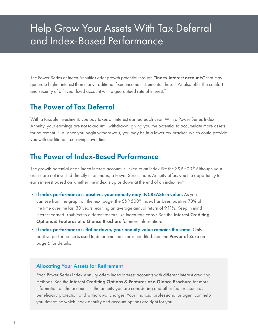### Help Grow Your Assets With Tax Deferral and Index-Based Performance

The Power Series of Index Annuities offer growth potential through "index interest accounts" that may generate higher interest than many traditional fixed income instruments. These FIAs also offer the comfort and security of a 1-year fixed account with a guaranteed rate of interest.<sup>2</sup>

#### The Power of Tax Deferral

With a taxable investment, you pay taxes on interest earned each year. With a Power Series Index Annuity, your earnings are not taxed until withdrawn, giving you the potential to accumulate more assets for retirement. Plus, once you begin withdrawals, you may be in a lower tax bracket, which could provide you with additional tax savings over time.

#### The Power of Index-Based Performance

The growth potential of an index interest account is linked to an index like the S&P 500.® Although your assets are not invested directly in an index, a Power Series Index Annuity offers you the opportunity to earn interest based on whether the index is up or down at the end of an index term:

- If index performance is positive, your annuity may INCREASE in value. As you can see from the graph on the next page, the S&P 500® Index has been positive 73% of the time over the last 30 years, earning an average annual return of 9.11%. Keep in mind interest earned is subject to different factors like index rate caps.<sup>3</sup> See the **Interest Crediting** Options & Features at a Glance Brochure for more information.
- If index performance is flat or down, your annuity value remains the same. Only positive performance is used to determine the interest credited. See the Power of Zero on page 6 for details.

#### Allocating Your Assets for Retirement

Each Power Series Index Annuity offers index interest accounts with different interest crediting methods. See the Interest Crediting Options & Features at a Glance Brochure for more information on the accounts in the annuity you are considering and other features such as beneficiary protection and withdrawal charges. Your financial professional or agent can help you determine which index annuity and account options are right for you.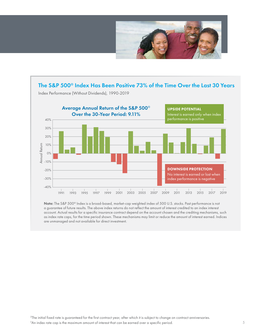



a guarantee of future results. The above index returns do not reflect the amount of interest credited to an index interest account. Actual results for a specific insurance contract depend on the account chosen and the crediting mechanisms, such as index rate caps, for the time period shown. These mechanisms may limit or reduce the amount of interest earned. Indices are unmanaged and not available for direct investment.

Note: The S&P 500® Index is a broad-based, market-cap weighted index of 500 U.S. stocks. Past performance is not

<sup>2</sup>The initial fixed rate is guaranteed for the first contract year, after which it is subject to change on contract anniversaries.  $3$ An index rate cap is the maximum amount of interest that can be earned over a specific period.  $5$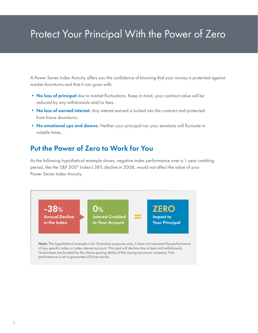## Protect Your Principal With the Power of Zero

A Power Series Index Annuity offers you the confidence of knowing that your money is protected against market downturns and that it can grow with:

- No loss of principal due to market fluctuations. Keep in mind, your contract value will be reduced by any withdrawals and/or fees.
- No loss of earned interest. Any interest earned is locked into the contract and protected from future downturns.
- No emotional ups and downs. Neither your principal nor your emotions will fluctuate in volatile times.

### Put the Power of Zero to Work for You

As the following hypothetical example shows, negative index performance over a 1-year crediting period, like the S&P 500® Index's 38% decline in 2008, would not affect the value of your Power Series Index Annuity.

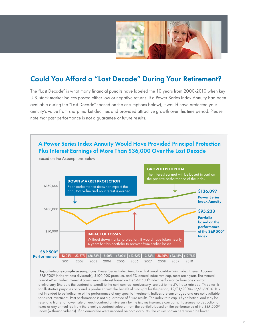

### Could You Afford a "Lost Decade" During Your Retirement?

The "Lost Decade" is what many financial pundits have labeled the 10 years from 2000-2010 when key U.S. stock market indices posted either low or negative returns. If a Power Series Index Annuity had been available during the "Lost Decade" (based on the assumptions below), it would have protected your annuity's value from sharp market declines and provided attractive growth over this time period. Please note that past performance is not a guarantee of future results.



Hypothetical example assumptions: Power Series Index Annuity with Annual Point-to-Point Index Interest Account (S&P 500® Index without dividends), \$100,000 premium, and 5% annual index rate cap, reset each year. The Annual Point-to-Point Index Interest Account earns interest based on the S&P 500® index performance from one contract anniversary (the date the contract is issued) to the next contract anniversary, subject to the 5% index rate cap. This chart is for illustrative purposes only and is produced with the benefit of hindsight for the period, 12/31/2000–12/31/2010. It is not intended to be indicative of the performance of any specific investment. Indices are unmanaged and are not available for direct investment. Past performance is not a guarantee of future results. The index rate cap is hypothetical and may be reset at a higher or lower rate on each contract anniversary by the issuing insurance company. It assumes no deduction of taxes or any annual fee from the annuity's contract value or from the portfolio based on the performance of the S&P 500® Index (without dividends). If an annual fee were imposed on both accounts, the values shown here would be lower.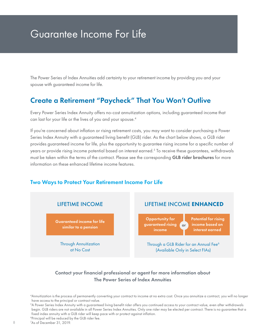### Guarantee Income For Life

The Power Series of Index Annuities add certainty to your retirement income by providing you and your spouse with guaranteed income for life.

#### Create a Retirement "Paycheck" That You Won't Outlive

Every Power Series Index Annuity offers no-cost annuitization options, including guaranteed income that can last for your life or the lives of you and your spouse.<sup>4</sup>

If you're concerned about inflation or rising retirement costs, you may want to consider purchasing a Power Series Index Annuity with a guaranteed living benefit (GLB) rider. As the chart below shows, a GLB rider provides guaranteed income for life, plus the opportunity to guarantee rising income for a specific number of years or provide rising income potential based on interest earned.5 To receive these guarantees, withdrawals must be taken within the terms of the contract. Please see the corresponding GLB rider brochures for more information on these enhanced lifetime income features.

#### Two Ways to Protect Your Retirement Income For Life



#### Contact your financial professional or agent for more information about The Power Series of Index Annuities

8

<sup>4</sup> Annuitization is the process of permanently converting your contract to income at no extra cost. Once you annuitize a contract, you will no longer have access to the principal or contract value.

<sup>5</sup> A Power Series Index Annuity with a guaranteed living benefit rider offers you continued access to your contract value, even after withdrawals begin. GLB riders are not available in all Power Series Index Annuities. Only one rider may be elected per contract. There is no guarantee that a fixed index annuity with a GLB rider will keep pace with or protect against inflation.

<sup>6</sup>Principal will be reduced by the GLB rider fee.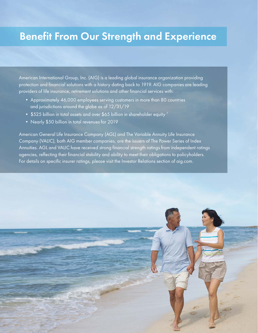### Benefit From Our Strength and Experience

American International Group, Inc. (AIG) is a leading global insurance organization providing protection and financial solutions with a history dating back to 1919. AIG companies are leading providers of life insurance, retirement solutions and other financial services with:

- Approximately 46,000 employees serving customers in more than 80 countries and jurisdictions around the globe as of 12/31/19
- \$525 billion in total assets and over \$65 billion in shareholder equity  $^7$
- Nearly \$50 billion in total revenues for 2019

American General Life Insurance Company (AGL) and The Variable Annuity Life Insurance Company (VALIC), both AIG member companies, are the issuers of The Power Series of Index Annuities. AGL and VALIC have received strong financial strength ratings from independent ratings agencies, reflecting their financial stability and ability to meet their obligations to policyholders. For details on specific insurer ratings, please visit the Investor Relations section of aig.com.